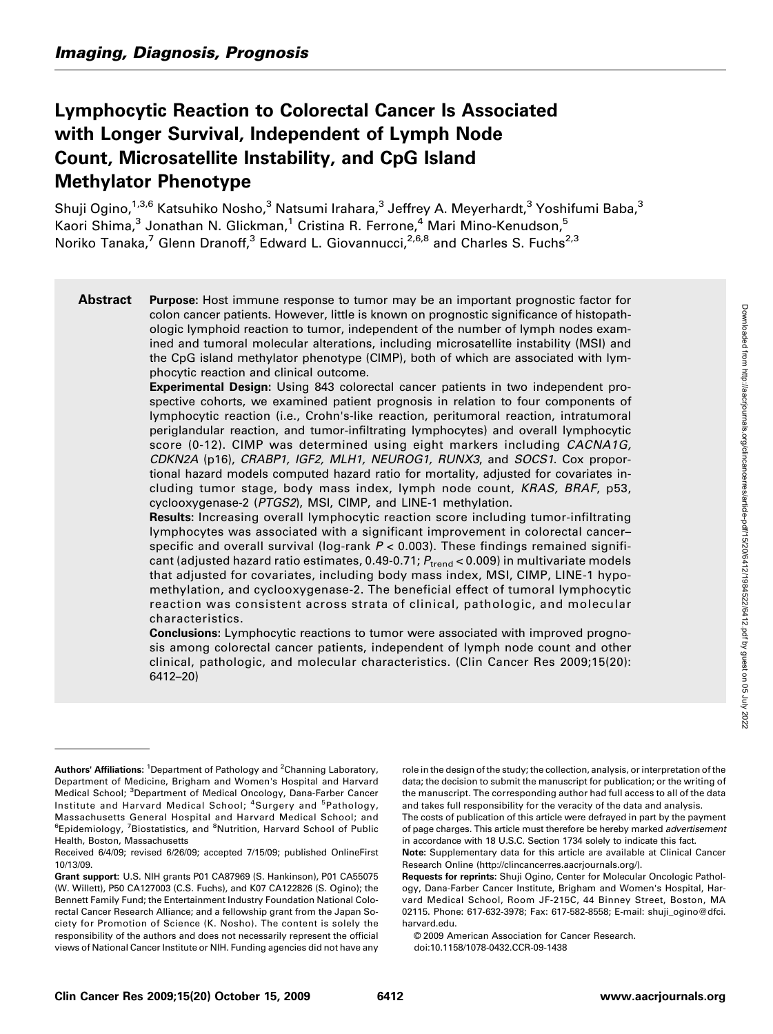# Lymphocytic Reaction to Colorectal Cancer Is Associated with Longer Survival, Independent of Lymph Node Count, Microsatellite Instability, and CpG Island Methylator Phenotype

Shuji Ogino,<sup>1,3,6</sup> Katsuhiko Nosho,<sup>3</sup> Natsumi Irahara,<sup>3</sup> Jeffrey A. Meyerhardt,<sup>3</sup> Yoshifumi Baba,<sup>3</sup> Kaori Shima,<sup>3</sup> Jonathan N. Glickman,<sup>1</sup> Cristina R. Ferrone,<sup>4</sup> Mari Mino-Kenudson,<sup>5</sup> Noriko Tanaka,<sup>7</sup> Glenn Dranoff,<sup>3</sup> Edward L. Giovannucci,<sup>2,6,8</sup> and Charles S. Fuchs<sup>2,3</sup>

Abstract Purpose: Host immune response to tumor may be an important prognostic factor for colon cancer patients. However, little is known on prognostic significance of histopathologic lymphoid reaction to tumor, independent of the number of lymph nodes examined and tumoral molecular alterations, including microsatellite instability (MSI) and the CpG island methylator phenotype (CIMP), both of which are associated with lymphocytic reaction and clinical outcome.

Experimental Design: Using 843 colorectal cancer patients in two independent prospective cohorts, we examined patient prognosis in relation to four components of lymphocytic reaction (i.e., Crohn's-like reaction, peritumoral reaction, intratumoral periglandular reaction, and tumor-infiltrating lymphocytes) and overall lymphocytic score (0-12). CIMP was determined using eight markers including CACNA1G, CDKN2A (p16), CRABP1, IGF2, MLH1, NEUROG1, RUNX3, and SOCS1. Cox proportional hazard models computed hazard ratio for mortality, adjusted for covariates including tumor stage, body mass index, lymph node count, KRAS, BRAF, p53, cyclooxygenase-2 (PTGS2), MSI, CIMP, and LINE-1 methylation.

Results: Increasing overall lymphocytic reaction score including tumor-infiltrating lymphocytes was associated with a significant improvement in colorectal cancer– specific and overall survival (log-rank  $P < 0.003$ ). These findings remained significant (adjusted hazard ratio estimates, 0.49-0.71;  $P_{\text{trend}}$  < 0.009) in multivariate models that adjusted for covariates, including body mass index, MSI, CIMP, LINE-1 hypomethylation, and cyclooxygenase-2. The beneficial effect of tumoral lymphocytic reaction was consistent across strata of clinical, pathologic, and molecular characteristics.

**Conclusions:** Lymphocytic reactions to tumor were associated with improved prognosis among colorectal cancer patients, independent of lymph node count and other clinical, pathologic, and molecular characteristics. (Clin Cancer Res 2009;15(20): 6412–20)

role in the design of the study; the collection, analysis, or interpretation of the data; the decision to submit the manuscript for publication; or the writing of the manuscript. The corresponding author had full access to all of the data and takes full responsibility for the veracity of the data and analysis. The costs of publication of this article were defrayed in part by the payment

of page charges. This article must therefore be hereby marked *advertisement* in accordance with 18 U.S.C. Section 1734 solely to indicate this fact.

Note: Supplementary data for this article are available at Clinical Cancer Research Online (http://clincancerres.aacrjournals.org/).

Requests for reprints: Shuji Ogino, Center for Molecular Oncologic Pathology, Dana-Farber Cancer Institute, Brigham and Women's Hospital, Harvard Medical School, Room JF-215C, 44 Binney Street, Boston, MA 02115. Phone: 617-632-3978; Fax: 617-582-8558; E-mail: shuji\_ogino@dfci. harvard.edu.

© 2009 American Association for Cancer Research. doi:10.1158/1078-0432.CCR-09-1438

Authors' Affiliations: <sup>1</sup>Department of Pathology and <sup>2</sup>Channing Laboratory, Department of Medicine, Brigham and Women's Hospital and Harvard Medical School; <sup>3</sup>Department of Medical Oncology, Dana-Farber Cancer Institute and Harvard Medical School; <sup>4</sup>Surgery and <sup>5</sup>Pathology, Massachusetts General Hospital and Harvard Medical School; and <sup>6</sup>Epidemiology, <sup>7</sup>Biostatistics, and <sup>8</sup>Nutrition, Harvard School of Public Health, Boston, Massachusetts

Received 6/4/09; revised 6/26/09; accepted 7/15/09; published OnlineFirst 10/13/09.

Grant support: U.S. NIH grants P01 CA87969 (S. Hankinson), P01 CA55075 (W. Willett), P50 CA127003 (C.S. Fuchs), and K07 CA122826 (S. Ogino); the Bennett Family Fund; the Entertainment Industry Foundation National Colorectal Cancer Research Alliance; and a fellowship grant from the Japan Society for Promotion of Science (K. Nosho). The content is solely the responsibility of the authors and does not necessarily represent the official views of National Cancer Institute or NIH. Funding agencies did not have any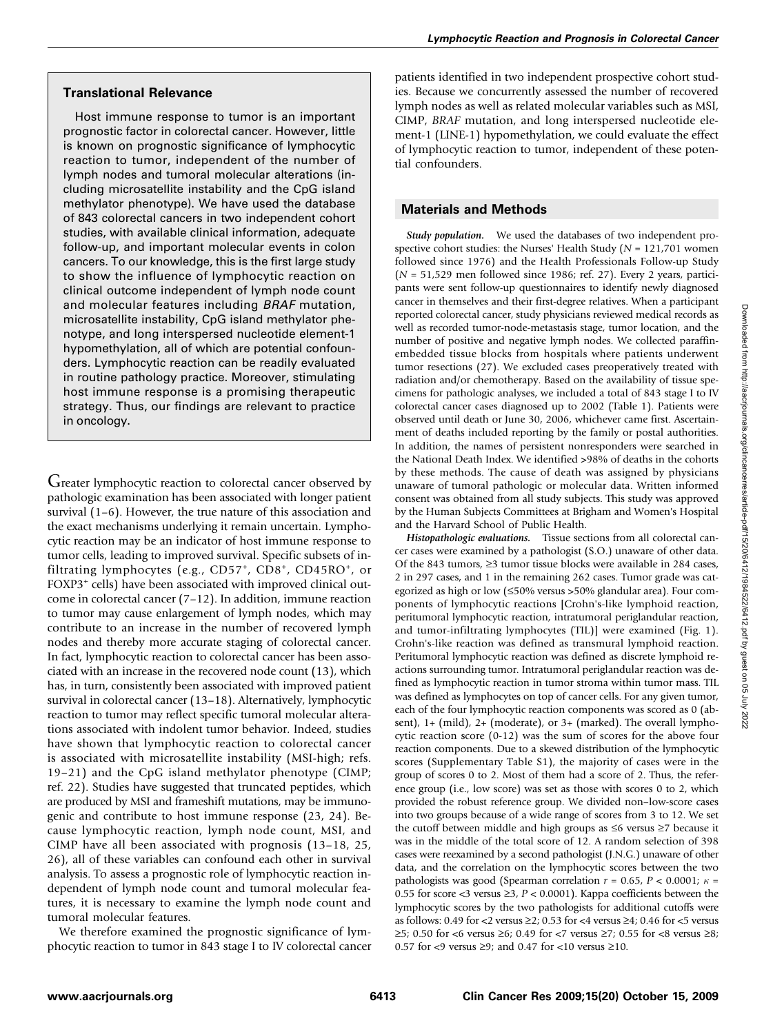## Translational Relevance

Host immune response to tumor is an important prognostic factor in colorectal cancer. However, little is known on prognostic significance of lymphocytic reaction to tumor, independent of the number of lymph nodes and tumoral molecular alterations (including microsatellite instability and the CpG island methylator phenotype). We have used the database of 843 colorectal cancers in two independent cohort studies, with available clinical information, adequate follow-up, and important molecular events in colon cancers. To our knowledge, this is the first large study to show the influence of lymphocytic reaction on clinical outcome independent of lymph node count and molecular features including BRAF mutation, microsatellite instability, CpG island methylator phenotype, and long interspersed nucleotide element-1 hypomethylation, all of which are potential confounders. Lymphocytic reaction can be readily evaluated in routine pathology practice. Moreover, stimulating host immune response is a promising therapeutic strategy. Thus, our findings are relevant to practice in oncology.

Greater lymphocytic reaction to colorectal cancer observed by pathologic examination has been associated with longer patient survival (1–6). However, the true nature of this association and the exact mechanisms underlying it remain uncertain. Lymphocytic reaction may be an indicator of host immune response to tumor cells, leading to improved survival. Specific subsets of infiltrating lymphocytes (e.g., CD57<sup>+</sup>, CD8<sup>+</sup>, CD45RO<sup>+</sup>, or FOXP3<sup>+</sup> cells) have been associated with improved clinical outcome in colorectal cancer (7–12). In addition, immune reaction to tumor may cause enlargement of lymph nodes, which may contribute to an increase in the number of recovered lymph nodes and thereby more accurate staging of colorectal cancer. In fact, lymphocytic reaction to colorectal cancer has been associated with an increase in the recovered node count (13), which has, in turn, consistently been associated with improved patient survival in colorectal cancer (13–18). Alternatively, lymphocytic reaction to tumor may reflect specific tumoral molecular alterations associated with indolent tumor behavior. Indeed, studies have shown that lymphocytic reaction to colorectal cancer is associated with microsatellite instability (MSI-high; refs. 19–21) and the CpG island methylator phenotype (CIMP; ref. 22). Studies have suggested that truncated peptides, which are produced by MSI and frameshift mutations, may be immunogenic and contribute to host immune response (23, 24). Because lymphocytic reaction, lymph node count, MSI, and CIMP have all been associated with prognosis (13–18, 25, 26), all of these variables can confound each other in survival analysis. To assess a prognostic role of lymphocytic reaction independent of lymph node count and tumoral molecular features, it is necessary to examine the lymph node count and tumoral molecular features.

We therefore examined the prognostic significance of lymphocytic reaction to tumor in 843 stage I to IV colorectal cancer patients identified in two independent prospective cohort studies. Because we concurrently assessed the number of recovered lymph nodes as well as related molecular variables such as MSI, CIMP, BRAF mutation, and long interspersed nucleotide element-1 (LINE-1) hypomethylation, we could evaluate the effect of lymphocytic reaction to tumor, independent of these potential confounders.

## Materials and Methods

Study population. We used the databases of two independent prospective cohort studies: the Nurses' Health Study ( $N = 121,701$  women followed since 1976) and the Health Professionals Follow-up Study  $(N = 51,529$  men followed since 1986; ref. 27). Every 2 years, participants were sent follow-up questionnaires to identify newly diagnosed cancer in themselves and their first-degree relatives. When a participant reported colorectal cancer, study physicians reviewed medical records as well as recorded tumor-node-metastasis stage, tumor location, and the number of positive and negative lymph nodes. We collected paraffinembedded tissue blocks from hospitals where patients underwent tumor resections (27). We excluded cases preoperatively treated with radiation and/or chemotherapy. Based on the availability of tissue specimens for pathologic analyses, we included a total of 843 stage I to IV colorectal cancer cases diagnosed up to 2002 (Table 1). Patients were observed until death or June 30, 2006, whichever came first. Ascertainment of deaths included reporting by the family or postal authorities. In addition, the names of persistent nonresponders were searched in the National Death Index. We identified >98% of deaths in the cohorts by these methods. The cause of death was assigned by physicians unaware of tumoral pathologic or molecular data. Written informed consent was obtained from all study subjects. This study was approved by the Human Subjects Committees at Brigham and Women's Hospital and the Harvard School of Public Health.

Histopathologic evaluations. Tissue sections from all colorectal cancer cases were examined by a pathologist (S.O.) unaware of other data. Of the 843 tumors, ≥3 tumor tissue blocks were available in 284 cases, 2 in 297 cases, and 1 in the remaining 262 cases. Tumor grade was categorized as high or low (≤50% versus >50% glandular area). Four components of lymphocytic reactions [Crohn's-like lymphoid reaction, peritumoral lymphocytic reaction, intratumoral periglandular reaction, and tumor-infiltrating lymphocytes (TIL)] were examined (Fig. 1). Crohn's-like reaction was defined as transmural lymphoid reaction. Peritumoral lymphocytic reaction was defined as discrete lymphoid reactions surrounding tumor. Intratumoral periglandular reaction was defined as lymphocytic reaction in tumor stroma within tumor mass. TIL was defined as lymphocytes on top of cancer cells. For any given tumor, each of the four lymphocytic reaction components was scored as 0 (absent), 1+ (mild), 2+ (moderate), or 3+ (marked). The overall lymphocytic reaction score (0-12) was the sum of scores for the above four reaction components. Due to a skewed distribution of the lymphocytic scores (Supplementary Table S1), the majority of cases were in the group of scores 0 to 2. Most of them had a score of 2. Thus, the reference group (i.e., low score) was set as those with scores 0 to 2, which provided the robust reference group. We divided non–low-score cases into two groups because of a wide range of scores from 3 to 12. We set the cutoff between middle and high groups as ≤6 versus ≥7 because it was in the middle of the total score of 12. A random selection of 398 cases were reexamined by a second pathologist (J.N.G.) unaware of other data, and the correlation on the lymphocytic scores between the two pathologists was good (Spearman correlation  $r = 0.65$ ,  $P < 0.0001$ ;  $\kappa =$ 0.55 for score <3 versus  $\geq$ 3, P < 0.0001). Kappa coefficients between the lymphocytic scores by the two pathologists for additional cutoffs were as follows: 0.49 for <2 versus  $\geq$ 2; 0.53 for <4 versus  $\geq$ 4; 0.46 for <5 versus  $\geq$ 5; 0.50 for <6 versus  $\geq$ 6; 0.49 for <7 versus  $\geq$ 7; 0.55 for <8 versus  $\geq$ 8; 0.57 for <9 versus ≥9; and 0.47 for <10 versus ≥10.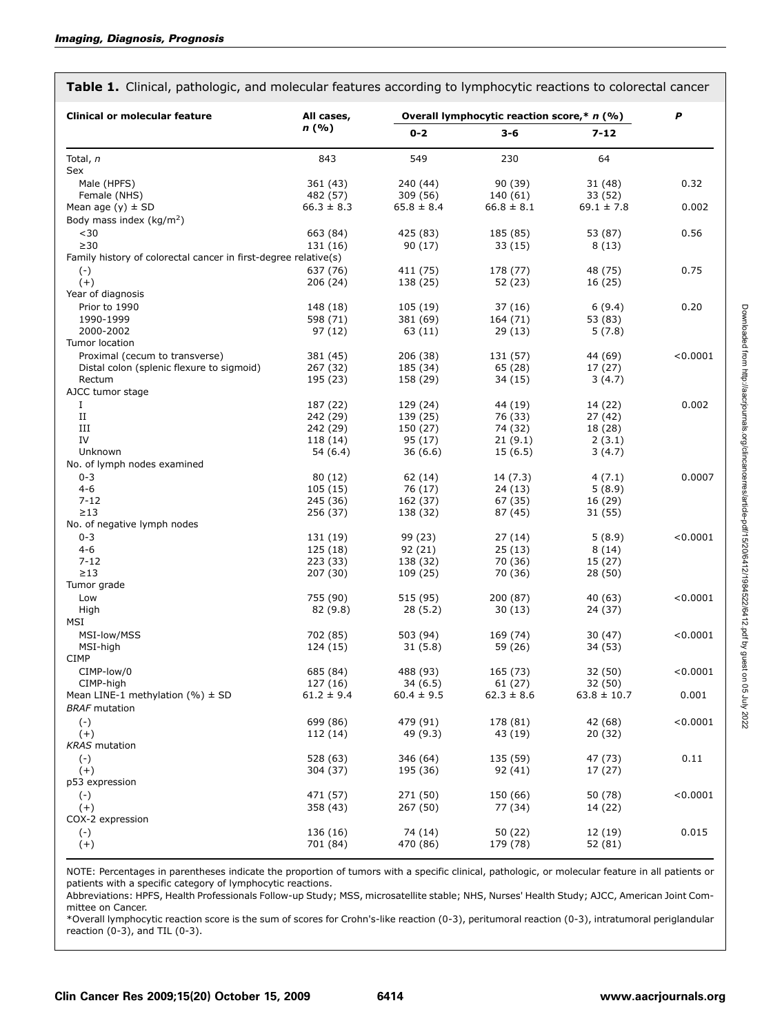|  |  |  | Table 1. Clinical, pathologic, and molecular features according to lymphocytic reactions to colorectal cancer |  |  |  |  |  |  |
|--|--|--|---------------------------------------------------------------------------------------------------------------|--|--|--|--|--|--|
|--|--|--|---------------------------------------------------------------------------------------------------------------|--|--|--|--|--|--|

| <b>Clinical or molecular feature</b>                            | All cases,     | Overall lymphocytic reaction score,* n (%) | P              |                 |          |
|-----------------------------------------------------------------|----------------|--------------------------------------------|----------------|-----------------|----------|
|                                                                 | n(%)           | $0 - 2$                                    | $3 - 6$        | $7 - 12$        |          |
| Total, n                                                        | 843            | 549                                        | 230            | 64              |          |
| Sex                                                             |                |                                            |                |                 |          |
| Male (HPFS)                                                     | 361 (43)       | 240 (44)                                   | 90 (39)        | 31 (48)         | 0.32     |
| Female (NHS)                                                    | 482 (57)       | 309 (56)                                   | 140 (61)       | 33 (52)         |          |
| Mean age $(y) \pm SD$                                           | $66.3 \pm 8.3$ | $65.8 \pm 8.4$                             | $66.8 \pm 8.1$ | $69.1 \pm 7.8$  | 0.002    |
| Body mass index ( $kg/m2$ )                                     |                |                                            |                |                 |          |
| $30$                                                            | 663 (84)       | 425 (83)                                   | 185 (85)       | 53 (87)         | 0.56     |
| $\geq$ 30                                                       | 131 (16)       | 90 (17)                                    | 33(15)         | 8(13)           |          |
| Family history of colorectal cancer in first-degree relative(s) |                |                                            |                |                 |          |
| $(-)$                                                           | 637 (76)       | 411 (75)                                   | 178 (77)       | 48 (75)         | 0.75     |
| $(+)$                                                           | 206(24)        | 138 (25)                                   | 52 (23)        | 16 (25)         |          |
| Year of diagnosis                                               |                |                                            |                |                 |          |
| Prior to 1990                                                   | 148 (18)       | 105 (19)                                   | 37 (16)        | 6(9.4)          | 0.20     |
| 1990-1999                                                       | 598 (71)       | 381 (69)                                   | 164 (71)       | 53 (83)         |          |
| 2000-2002                                                       |                |                                            |                |                 |          |
| Tumor location                                                  | 97 (12)        | 63 (11)                                    | 29 (13)        | 5(7.8)          |          |
|                                                                 |                |                                            |                |                 |          |
| Proximal (cecum to transverse)                                  | 381 (45)       | 206 (38)                                   | 131 (57)       | 44 (69)         | < 0.0001 |
| Distal colon (splenic flexure to sigmoid)                       | 267 (32)       | 185 (34)                                   | 65 (28)        | 17 (27)         |          |
| Rectum                                                          | 195 (23)       | 158 (29)                                   | 34 (15)        | 3(4.7)          |          |
| AJCC tumor stage                                                |                |                                            |                |                 |          |
| Ι.                                                              | 187 (22)       | 129 (24)                                   | 44 (19)        | 14 (22)         | 0.002    |
| П                                                               | 242 (29)       | 139 (25)                                   | 76 (33)        | 27 (42)         |          |
| Ш                                                               | 242 (29)       | 150 (27)                                   | 74 (32)        | 18 (28)         |          |
| IV                                                              | 118 (14)       | 95(17)                                     | 21(9.1)        | 2(3.1)          |          |
| Unknown                                                         | 54(6.4)        | 36(6.6)                                    | 15(6.5)        | 3(4.7)          |          |
| No. of lymph nodes examined                                     |                |                                            |                |                 |          |
| $0 - 3$                                                         | 80 (12)        | 62 (14)                                    | 14 (7.3)       | 4(7.1)          | 0.0007   |
| $4 - 6$                                                         | 105(15)        | 76 (17)                                    | 24 (13)        | 5(8.9)          |          |
| $7 - 12$                                                        | 245 (36)       | 162 (37)                                   | 67 (35)        | 16 (29)         |          |
| $\geq$ 13                                                       | 256 (37)       | 138 (32)                                   | 87 (45)        | 31 (55)         |          |
| No. of negative lymph nodes                                     |                |                                            |                |                 |          |
| $0 - 3$                                                         | 131 (19)       | 99 (23)                                    | 27 (14)        | 5(8.9)          | < 0.0001 |
| $4 - 6$                                                         | 125 (18)       | 92(21)                                     | 25(13)         | 8(14)           |          |
| $7 - 12$                                                        | 223 (33)       | 138 (32)                                   | 70 (36)        | 15 (27)         |          |
| $\geq$ 13                                                       | 207 (30)       | 109 (25)                                   | 70 (36)        | 28 (50)         |          |
| Tumor grade                                                     |                |                                            |                |                 |          |
| Low                                                             | 755 (90)       | 515 (95)                                   | 200 (87)       | 40 (63)         | < 0.0001 |
| High                                                            | 82 (9.8)       | 28(5.2)                                    | 30(13)         | 24 (37)         |          |
| MSI                                                             |                |                                            |                |                 |          |
|                                                                 |                |                                            |                |                 | < 0.0001 |
| MSI-low/MSS<br>MSI-high                                         | 702 (85)       | 503 (94)                                   | 169 (74)       | 30 (47)         |          |
|                                                                 | 124 (15)       | 31(5.8)                                    | 59 (26)        | 34 (53)         |          |
| <b>CIMP</b>                                                     |                |                                            |                |                 |          |
| CIMP-low/0                                                      | 685 (84)       | 488 (93)                                   | 165 (73)       | 32 (50)         | < 0.0001 |
| CIMP-high                                                       | 127 (16)       | 34(6.5)                                    | 61 (27)        | 32 (50)         |          |
| Mean LINE-1 methylation $(% \mathcal{L}_{0})$ + SD              | $61.2 \pm 9.4$ | $60.4 \pm 9.5$                             | $62.3 \pm 8.6$ | $63.8 \pm 10.7$ | 0.001    |
| <b>BRAF</b> mutation                                            |                |                                            |                |                 |          |
| $(-)$                                                           | 699 (86)       | 479 (91)                                   | 178 (81)       | 42 (68)         | < 0.0001 |
| $(+)$                                                           | 112 (14)       | 49 (9.3)                                   | 43 (19)        | 20 (32)         |          |
| <b>KRAS</b> mutation                                            |                |                                            |                |                 |          |
| $(\cdot)$                                                       | 528 (63)       | 346 (64)                                   | 135 (59)       | 47 (73)         | 0.11     |
| $(+)$                                                           | 304 (37)       | 195 (36)                                   | 92 (41)        | 17 (27)         |          |
| p53 expression                                                  |                |                                            |                |                 |          |
| $(-)$                                                           | 471 (57)       | 271 (50)                                   | 150 (66)       | 50 (78)         | < 0.0001 |
| $(+)$                                                           | 358 (43)       | 267 (50)                                   | 77 (34)        | 14 (22)         |          |
| COX-2 expression                                                |                |                                            |                |                 |          |
| $(\cdot)$                                                       | 136 (16)       | 74 (14)                                    | 50 (22)        | 12 (19)         | 0.015    |
| $(+)$                                                           | 701 (84)       | 470 (86)                                   | 179 (78)       | 52 (81)         |          |
|                                                                 |                |                                            |                |                 |          |

NOTE: Percentages in parentheses indicate the proportion of tumors with a specific clinical, pathologic, or molecular feature in all patients or patients with a specific category of lymphocytic reactions.

Abbreviations: HPFS, Health Professionals Follow-up Study; MSS, microsatellite stable; NHS, Nurses' Health Study; AJCC, American Joint Committee on Cancer.

\*Overall lymphocytic reaction score is the sum of scores for Crohn's-like reaction (0-3), peritumoral reaction (0-3), intratumoral periglandular reaction  $(0-3)$ , and TIL  $(0-3)$ .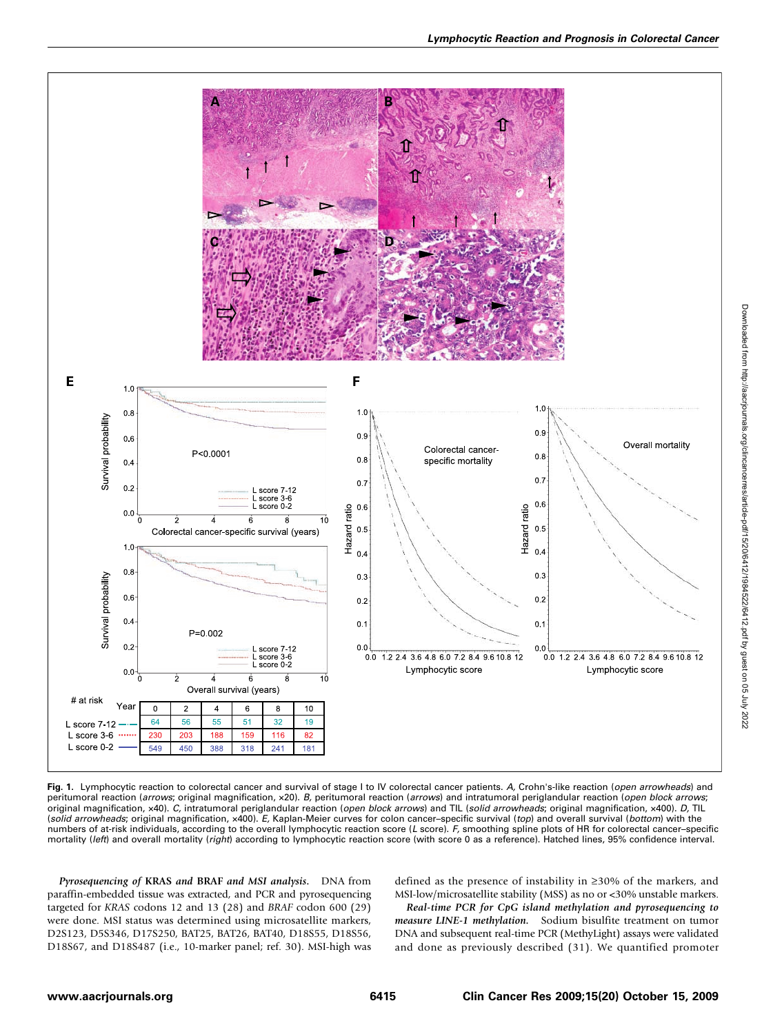

Fig. 1. Lymphocytic reaction to colorectal cancer and survival of stage I to IV colorectal cancer patients. A, Crohn's-like reaction (open arrowheads) and peritumoral reaction (arrows; original magnification, x20). B, peritumoral reaction (arrows) and intratumoral periglandular reaction (open block arrows; original magnification, x40). C, intratumoral periglandular reaction (open block arrows) and TIL (solid arrowheads; original magnification, x400). D, TIL (solid arrowheads; original magnification, x400). E, Kaplan-Meier curves for colon cancer-specific survival (top) and overall survival (bottom) with the numbers of at-risk individuals, according to the overall lymphocytic reaction score (L score). F, smoothing spline plots of HR for colorectal cancer–specific mortality (left) and overall mortality (right) according to lymphocytic reaction score (with score 0 as a reference). Hatched lines, 95% confidence interval.

Pyrosequencing of KRAS and BRAF and MSI analysis. DNA from paraffin-embedded tissue was extracted, and PCR and pyrosequencing targeted for KRAS codons 12 and 13 (28) and BRAF codon 600 (29) were done. MSI status was determined using microsatellite markers, D2S123, D5S346, D17S250, BAT25, BAT26, BAT40, D18S55, D18S56, D18S67, and D18S487 (i.e., 10-marker panel; ref. 30). MSI-high was defined as the presence of instability in ≥30% of the markers, and MSI-low/microsatellite stability (MSS) as no or <30% unstable markers.

Real-time PCR for CpG island methylation and pyrosequencing to measure LINE-1 methylation. Sodium bisulfite treatment on tumor DNA and subsequent real-time PCR (MethyLight) assays were validated and done as previously described (31). We quantified promoter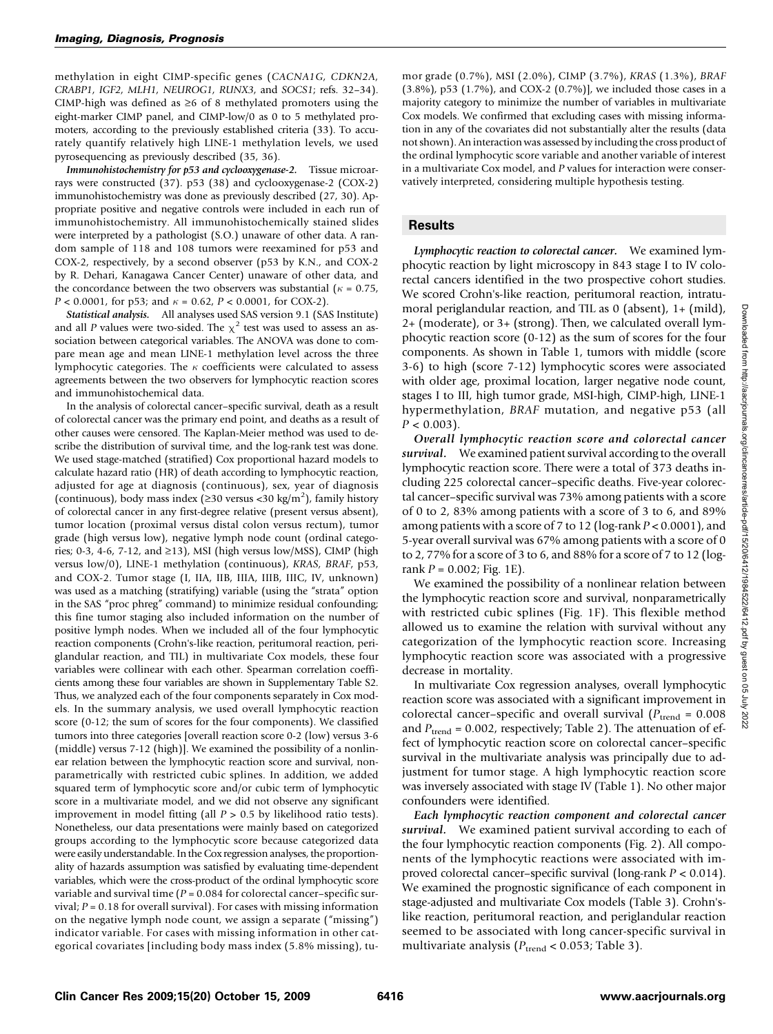methylation in eight CIMP-specific genes (CACNA1G, CDKN2A, CRABP1, IGF2, MLH1, NEUROG1, RUNX3, and SOCS1; refs. 32–34). CIMP-high was defined as  $\geq 6$  of 8 methylated promoters using the eight-marker CIMP panel, and CIMP-low/0 as 0 to 5 methylated promoters, according to the previously established criteria (33). To accurately quantify relatively high LINE-1 methylation levels, we used pyrosequencing as previously described (35, 36).

Immunohistochemistry for p53 and cyclooxygenase-2. Tissue microarrays were constructed (37). p53 (38) and cyclooxygenase-2 (COX-2) immunohistochemistry was done as previously described (27, 30). Appropriate positive and negative controls were included in each run of immunohistochemistry. All immunohistochemically stained slides were interpreted by a pathologist (S.O.) unaware of other data. A random sample of 118 and 108 tumors were reexamined for p53 and COX-2, respectively, by a second observer (p53 by K.N., and COX-2 by R. Dehari, Kanagawa Cancer Center) unaware of other data, and the concordance between the two observers was substantial ( $\kappa = 0.75$ ,  $P < 0.0001$ , for p53; and  $\kappa = 0.62$ ,  $P < 0.0001$ , for COX-2).

Statistical analysis. All analyses used SAS version 9.1 (SAS Institute) and all P values were two-sided. The  $\chi^2$  test was used to assess an association between categorical variables. The ANOVA was done to compare mean age and mean LINE-1 methylation level across the three lymphocytic categories. The  $\kappa$  coefficients were calculated to assess agreements between the two observers for lymphocytic reaction scores and immunohistochemical data.

In the analysis of colorectal cancer–specific survival, death as a result of colorectal cancer was the primary end point, and deaths as a result of other causes were censored. The Kaplan-Meier method was used to describe the distribution of survival time, and the log-rank test was done. We used stage-matched (stratified) Cox proportional hazard models to calculate hazard ratio (HR) of death according to lymphocytic reaction, adjusted for age at diagnosis (continuous), sex, year of diagnosis (continuous), body mass index ( $\geq$ 30 versus <30 kg/m<sup>2</sup>), family history of colorectal cancer in any first-degree relative (present versus absent), tumor location (proximal versus distal colon versus rectum), tumor grade (high versus low), negative lymph node count (ordinal categories; 0-3, 4-6, 7-12, and ≥13), MSI (high versus low/MSS), CIMP (high versus low/0), LINE-1 methylation (continuous), KRAS, BRAF, p53, and COX-2. Tumor stage (I, IIA, IIB, IIIA, IIIB, IIIC, IV, unknown) was used as a matching (stratifying) variable (using the "strata" option in the SAS "proc phreg" command) to minimize residual confounding; this fine tumor staging also included information on the number of positive lymph nodes. When we included all of the four lymphocytic reaction components (Crohn's-like reaction, peritumoral reaction, periglandular reaction, and TIL) in multivariate Cox models, these four variables were collinear with each other. Spearman correlation coefficients among these four variables are shown in Supplementary Table S2. Thus, we analyzed each of the four components separately in Cox models. In the summary analysis, we used overall lymphocytic reaction score (0-12; the sum of scores for the four components). We classified tumors into three categories [overall reaction score 0-2 (low) versus 3-6 (middle) versus 7-12 (high)]. We examined the possibility of a nonlinear relation between the lymphocytic reaction score and survival, nonparametrically with restricted cubic splines. In addition, we added squared term of lymphocytic score and/or cubic term of lymphocytic score in a multivariate model, and we did not observe any significant improvement in model fitting (all  $P > 0.5$  by likelihood ratio tests). Nonetheless, our data presentations were mainly based on categorized groups according to the lymphocytic score because categorized data were easily understandable. In the Cox regression analyses, the proportionality of hazards assumption was satisfied by evaluating time-dependent variables, which were the cross-product of the ordinal lymphocytic score variable and survival time  $(P = 0.084$  for colorectal cancer-specific survival;  $P = 0.18$  for overall survival). For cases with missing information on the negative lymph node count, we assign a separate ("missing") indicator variable. For cases with missing information in other categorical covariates [including body mass index (5.8% missing), tumor grade (0.7%), MSI (2.0%), CIMP (3.7%), KRAS (1.3%), BRAF (3.8%), p53 (1.7%), and COX-2 (0.7%)], we included those cases in a majority category to minimize the number of variables in multivariate Cox models. We confirmed that excluding cases with missing information in any of the covariates did not substantially alter the results (data not shown). An interaction was assessed by including the cross product of the ordinal lymphocytic score variable and another variable of interest in a multivariate Cox model, and P values for interaction were conservatively interpreted, considering multiple hypothesis testing.

## **Results**

Lymphocytic reaction to colorectal cancer. We examined lymphocytic reaction by light microscopy in 843 stage I to IV colorectal cancers identified in the two prospective cohort studies. We scored Crohn's-like reaction, peritumoral reaction, intratumoral periglandular reaction, and TIL as 0 (absent), 1+ (mild), 2+ (moderate), or 3+ (strong). Then, we calculated overall lymphocytic reaction score (0-12) as the sum of scores for the four components. As shown in Table 1, tumors with middle (score 3-6) to high (score 7-12) lymphocytic scores were associated with older age, proximal location, larger negative node count, stages I to III, high tumor grade, MSI-high, CIMP-high, LINE-1 hypermethylation, BRAF mutation, and negative p53 (all  $P < 0.003$ ).

Overall lymphocytic reaction score and colorectal cancer survival. We examined patient survival according to the overall lymphocytic reaction score. There were a total of 373 deaths including 225 colorectal cancer–specific deaths. Five-year colorectal cancer–specific survival was 73% among patients with a score of 0 to 2, 83% among patients with a score of 3 to 6, and 89% among patients with a score of 7 to 12 (log-rank  $P < 0.0001$ ), and 5-year overall survival was 67% among patients with a score of 0 to 2, 77% for a score of 3 to 6, and 88% for a score of 7 to 12 (logrank  $P = 0.002$ ; Fig. 1E).

We examined the possibility of a nonlinear relation between the lymphocytic reaction score and survival, nonparametrically with restricted cubic splines (Fig. 1F). This flexible method allowed us to examine the relation with survival without any categorization of the lymphocytic reaction score. Increasing lymphocytic reaction score was associated with a progressive decrease in mortality.

In multivariate Cox regression analyses, overall lymphocytic reaction score was associated with a significant improvement in colorectal cancer–specific and overall survival  $(P_{\text{trend}} = 0.008$ and  $P_{\text{trend}} = 0.002$ , respectively; Table 2). The attenuation of effect of lymphocytic reaction score on colorectal cancer–specific survival in the multivariate analysis was principally due to adjustment for tumor stage. A high lymphocytic reaction score was inversely associated with stage IV (Table 1). No other major confounders were identified.

Each lymphocytic reaction component and colorectal cancer survival. We examined patient survival according to each of the four lymphocytic reaction components (Fig. 2). All components of the lymphocytic reactions were associated with improved colorectal cancer–specific survival (long-rank P < 0.014). We examined the prognostic significance of each component in stage-adjusted and multivariate Cox models (Table 3). Crohn'slike reaction, peritumoral reaction, and periglandular reaction seemed to be associated with long cancer-specific survival in multivariate analysis ( $P_{\text{trend}}$  < 0.053; Table 3).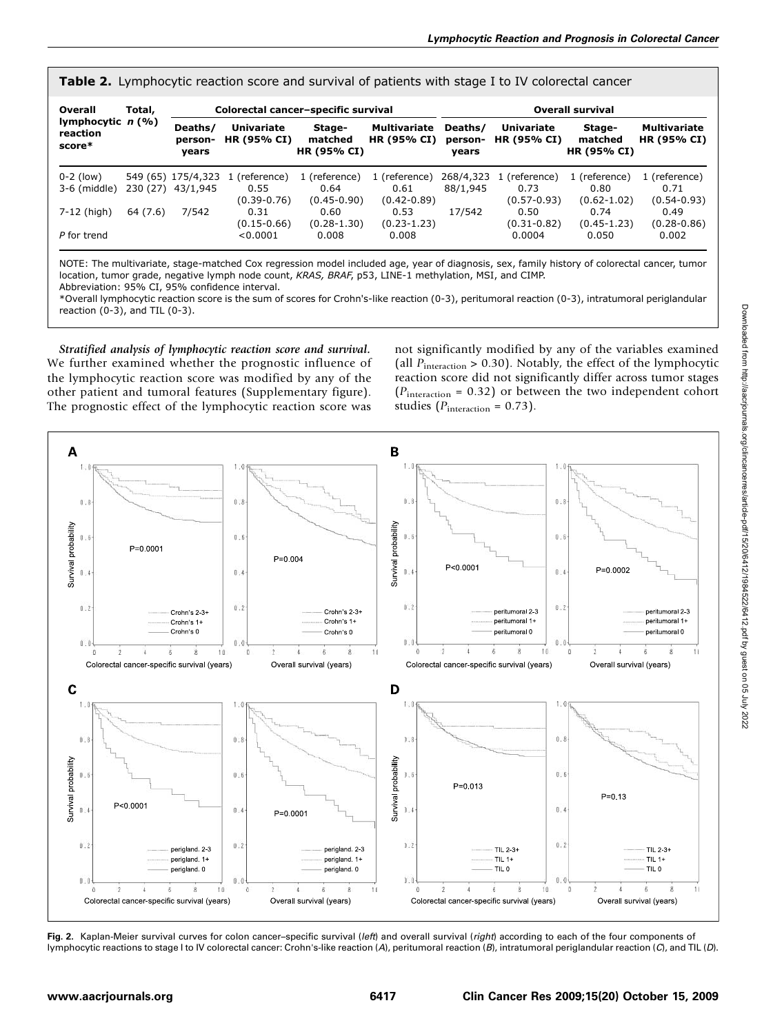Table 2. Lymphocytic reaction score and survival of patients with stage I to IV colorectal cancer

| Overall                                   | Total,   | Colorectal cancer-specific survival |                                  |                                  |                                           | <b>Overall survival</b>     |                                         |                                  |                                    |
|-------------------------------------------|----------|-------------------------------------|----------------------------------|----------------------------------|-------------------------------------------|-----------------------------|-----------------------------------------|----------------------------------|------------------------------------|
| lymphocytic $n$ (%)<br>reaction<br>score* |          | Deaths/<br>person-<br>years         | <b>Univariate</b><br>HR (95% CI) | Stage-<br>matched<br>HR (95% CI) | <b>Multivariate</b><br><b>HR (95% CI)</b> | Deaths/<br>person-<br>years | <b>Univariate</b><br><b>HR (95% CI)</b> | Stage-<br>matched<br>HR (95% CI) | <b>Multivariate</b><br>HR (95% CI) |
| $0-2$ (low)                               |          | 549 (65) 175/4,323                  | (reference)                      | 1 (reference)                    | 1 (reference)                             | 268/4,323                   | (reference)                             | 1 (reference)                    | 1 (reference)                      |
| $3-6$ (middle)                            | 230 (27) | 43/1,945                            | 0.55                             | 0.64                             | 0.61                                      | 88/1.945                    | 0.73                                    | 0.80                             | 0.71                               |
|                                           |          |                                     | $(0.39 - 0.76)$                  | $(0.45 - 0.90)$                  | $(0.42 - 0.89)$                           |                             | $(0.57 - 0.93)$                         | $(0.62 - 1.02)$                  | $(0.54 - 0.93)$                    |
| 7-12 (high)                               | 64(7.6)  | 7/542                               | 0.31                             | 0.60                             | 0.53                                      | 17/542                      | 0.50                                    | 0.74                             | 0.49                               |
|                                           |          |                                     | $(0.15 - 0.66)$                  | $(0.28 - 1.30)$                  | $(0.23 - 1.23)$                           |                             | $(0.31 - 0.82)$                         | $(0.45 - 1.23)$                  | $(0.28 - 0.86)$                    |
| P for trend                               |          |                                     | < 0.0001                         | 0.008                            | 0.008                                     |                             | 0.0004                                  | 0.050                            | 0.002                              |

NOTE: The multivariate, stage-matched Cox regression model included age, year of diagnosis, sex, family history of colorectal cancer, tumor location, tumor grade, negative lymph node count, KRAS, BRAF, p53, LINE-1 methylation, MSI, and CIMP. Abbreviation: 95% CI, 95% confidence interval.

\*Overall lymphocytic reaction score is the sum of scores for Crohn's-like reaction (0-3), peritumoral reaction (0-3), intratumoral periglandular reaction  $(0-3)$ , and TIL  $(0-3)$ .

Stratified analysis of lymphocytic reaction score and survival. We further examined whether the prognostic influence of the lymphocytic reaction score was modified by any of the other patient and tumoral features (Supplementary figure). The prognostic effect of the lymphocytic reaction score was

not significantly modified by any of the variables examined (all  $P_{\text{interaction}} > 0.30$ ). Notably, the effect of the lymphocytic reaction score did not significantly differ across tumor stages  $(P_{interaction} = 0.32)$  or between the two independent cohort studies ( $P_{\text{interaction}} = 0.73$ ).



Fig. 2. Kaplan-Meier survival curves for colon cancer-specific survival (left) and overall survival (right) according to each of the four components of lymphocytic reactions to stage I to IV colorectal cancer: Crohn's-like reaction (A), peritumoral reaction (B), intratumoral periglandular reaction (C), and TIL (D).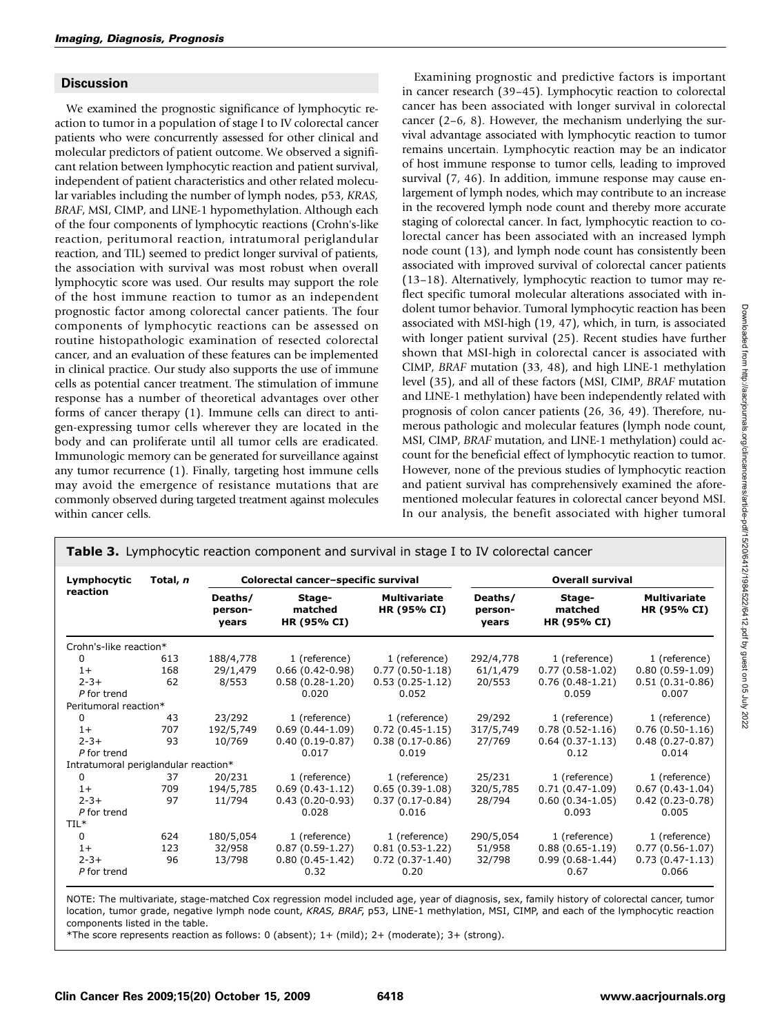### **Discussion**

We examined the prognostic significance of lymphocytic reaction to tumor in a population of stage I to IV colorectal cancer patients who were concurrently assessed for other clinical and molecular predictors of patient outcome. We observed a significant relation between lymphocytic reaction and patient survival, independent of patient characteristics and other related molecular variables including the number of lymph nodes, p53, KRAS, BRAF, MSI, CIMP, and LINE-1 hypomethylation. Although each of the four components of lymphocytic reactions (Crohn's-like reaction, peritumoral reaction, intratumoral periglandular reaction, and TIL) seemed to predict longer survival of patients, the association with survival was most robust when overall lymphocytic score was used. Our results may support the role of the host immune reaction to tumor as an independent prognostic factor among colorectal cancer patients. The four components of lymphocytic reactions can be assessed on routine histopathologic examination of resected colorectal cancer, and an evaluation of these features can be implemented in clinical practice. Our study also supports the use of immune cells as potential cancer treatment. The stimulation of immune response has a number of theoretical advantages over other forms of cancer therapy (1). Immune cells can direct to antigen-expressing tumor cells wherever they are located in the body and can proliferate until all tumor cells are eradicated. Immunologic memory can be generated for surveillance against any tumor recurrence (1). Finally, targeting host immune cells may avoid the emergence of resistance mutations that are commonly observed during targeted treatment against molecules within cancer cells.

Examining prognostic and predictive factors is important in cancer research (39–45). Lymphocytic reaction to colorectal cancer has been associated with longer survival in colorectal cancer (2–6, 8). However, the mechanism underlying the survival advantage associated with lymphocytic reaction to tumor remains uncertain. Lymphocytic reaction may be an indicator of host immune response to tumor cells, leading to improved survival (7, 46). In addition, immune response may cause enlargement of lymph nodes, which may contribute to an increase in the recovered lymph node count and thereby more accurate staging of colorectal cancer. In fact, lymphocytic reaction to colorectal cancer has been associated with an increased lymph node count (13), and lymph node count has consistently been associated with improved survival of colorectal cancer patients (13–18). Alternatively, lymphocytic reaction to tumor may reflect specific tumoral molecular alterations associated with indolent tumor behavior. Tumoral lymphocytic reaction has been associated with MSI-high (19, 47), which, in turn, is associated with longer patient survival (25). Recent studies have further shown that MSI-high in colorectal cancer is associated with CIMP, BRAF mutation (33, 48), and high LINE-1 methylation level (35), and all of these factors (MSI, CIMP, BRAF mutation and LINE-1 methylation) have been independently related with prognosis of colon cancer patients (26, 36, 49). Therefore, numerous pathologic and molecular features (lymph node count, MSI, CIMP, BRAF mutation, and LINE-1 methylation) could account for the beneficial effect of lymphocytic reaction to tumor. However, none of the previous studies of lymphocytic reaction and patient survival has comprehensively examined the aforementioned molecular features in colorectal cancer beyond MSI. In our analysis, the benefit associated with higher tumoral

| Lymphocytic                          | Total, n |                             | Colorectal cancer-specific survival |                                    | <b>Overall survival</b>     |                                  |                                    |  |
|--------------------------------------|----------|-----------------------------|-------------------------------------|------------------------------------|-----------------------------|----------------------------------|------------------------------------|--|
| reaction                             |          | Deaths/<br>person-<br>years | Stage-<br>matched<br>HR (95% CI)    | <b>Multivariate</b><br>HR (95% CI) | Deaths/<br>person-<br>years | Stage-<br>matched<br>HR (95% CI) | <b>Multivariate</b><br>HR (95% CI) |  |
| Crohn's-like reaction*               |          |                             |                                     |                                    |                             |                                  |                                    |  |
| 0                                    | 613      | 188/4,778                   | 1 (reference)                       | 1 (reference)                      | 292/4,778                   | 1 (reference)                    | 1 (reference)                      |  |
| $1+$                                 | 168      | 29/1,479                    | $0.66(0.42-0.98)$                   | $0.77(0.50-1.18)$                  | 61/1,479                    | $0.77(0.58-1.02)$                | $0.80(0.59-1.09)$                  |  |
| $2 - 3 +$                            | 62       | 8/553                       | $0.58(0.28-1.20)$                   | $0.53(0.25-1.12)$                  | 20/553                      | $0.76(0.48-1.21)$                | $0.51(0.31-0.86)$                  |  |
| P for trend                          |          |                             | 0.020                               | 0.052                              |                             | 0.059                            | 0.007                              |  |
| Peritumoral reaction*                |          |                             |                                     |                                    |                             |                                  |                                    |  |
| 0                                    | 43       | 23/292                      | 1 (reference)                       | 1 (reference)                      | 29/292                      | 1 (reference)                    | 1 (reference)                      |  |
| $1+$                                 | 707      | 192/5,749                   | $0.69(0.44-1.09)$                   | $0.72(0.45-1.15)$                  | 317/5,749                   | $0.78(0.52 - 1.16)$              | $0.76(0.50-1.16)$                  |  |
| $2 - 3 +$                            | 93       | 10/769                      | $0.40(0.19-0.87)$                   | $0.38(0.17-0.86)$                  | 27/769                      | $0.64(0.37-1.13)$                | $0.48(0.27-0.87)$                  |  |
| P for trend                          |          |                             | 0.017                               | 0.019                              |                             | 0.12                             | 0.014                              |  |
| Intratumoral periglandular reaction* |          |                             |                                     |                                    |                             |                                  |                                    |  |
| 0                                    | 37       | 20/231                      | 1 (reference)                       | 1 (reference)                      | 25/231                      | 1 (reference)                    | 1 (reference)                      |  |
| $1+$                                 | 709      | 194/5,785                   | $0.69(0.43-1.12)$                   | $0.65(0.39-1.08)$                  | 320/5,785                   | $0.71(0.47-1.09)$                | $0.67(0.43-1.04)$                  |  |
| $2 - 3 +$                            | 97       | 11/794                      | $0.43(0.20-0.93)$                   | $0.37(0.17-0.84)$                  | 28/794                      | $0.60(0.34-1.05)$                | $0.42(0.23-0.78)$                  |  |
| P for trend                          |          |                             | 0.028                               | 0.016                              |                             | 0.093                            | 0.005                              |  |
| TIL*                                 |          |                             |                                     |                                    |                             |                                  |                                    |  |
| 0                                    | 624      | 180/5,054                   | 1 (reference)                       | 1 (reference)                      | 290/5,054                   | 1 (reference)                    | 1 (reference)                      |  |
| $1+$                                 | 123      | 32/958                      | $0.87(0.59-1.27)$                   | $0.81(0.53-1.22)$                  | 51/958                      | $0.88(0.65-1.19)$                | $0.77(0.56 - 1.07)$                |  |
| $2 - 3 +$                            | 96       | 13/798                      | $0.80(0.45-1.42)$                   | $0.72(0.37-1.40)$                  | 32/798                      | $0.99(0.68-1.44)$                | $0.73(0.47-1.13)$                  |  |
| P for trend                          |          |                             | 0.32                                | 0.20                               |                             | 0.67                             | 0.066                              |  |

**Table 3.** Lymphocytic reaction component and survival in stage I to IV colorectal cancer

NOTE: The multivariate, stage-matched Cox regression model included age, year of diagnosis, sex, family history of colorectal cancer, tumor location, tumor grade, negative lymph node count, KRAS, BRAF, p53, LINE-1 methylation, MSI, CIMP, and each of the lymphocytic reaction components listed in the table.

\*The score represents reaction as follows: 0 (absent); 1+ (mild); 2+ (moderate); 3+ (strong).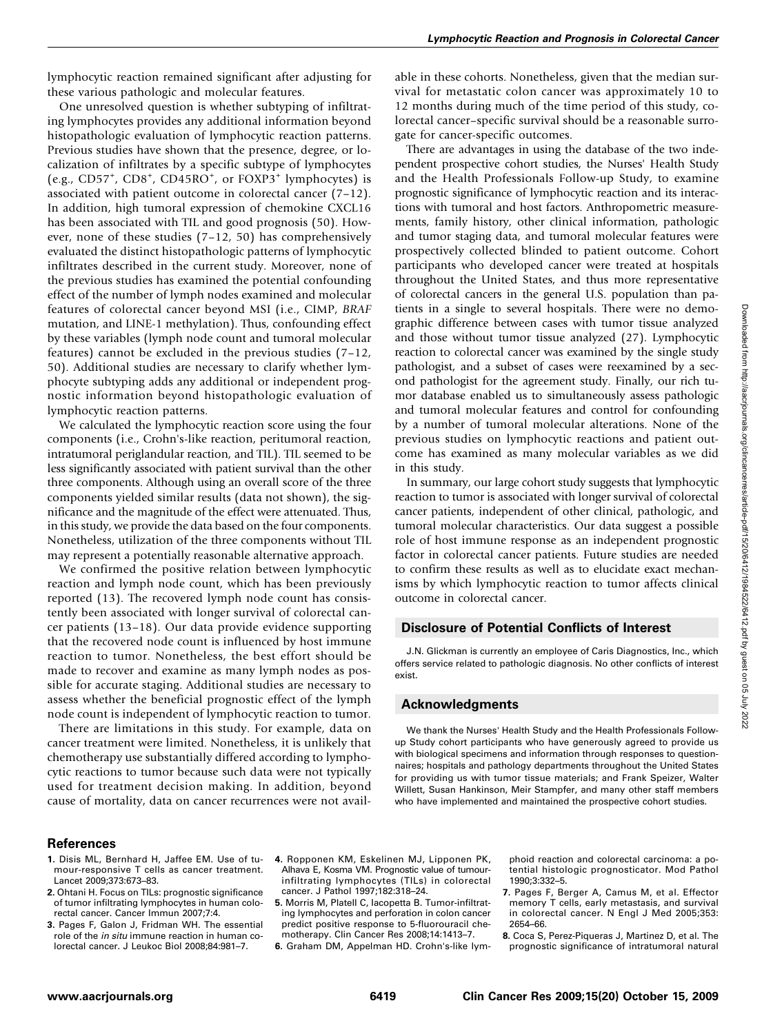lymphocytic reaction remained significant after adjusting for these various pathologic and molecular features.

One unresolved question is whether subtyping of infiltrating lymphocytes provides any additional information beyond histopathologic evaluation of lymphocytic reaction patterns. Previous studies have shown that the presence, degree, or localization of infiltrates by a specific subtype of lymphocytes (e.g.,  $CD57^+$ ,  $CD8^+$ ,  $CD45RO^+$ , or  $FOXP3^+$  lymphocytes) is associated with patient outcome in colorectal cancer (7–12). In addition, high tumoral expression of chemokine CXCL16 has been associated with TIL and good prognosis (50). However, none of these studies (7–12, 50) has comprehensively evaluated the distinct histopathologic patterns of lymphocytic infiltrates described in the current study. Moreover, none of the previous studies has examined the potential confounding effect of the number of lymph nodes examined and molecular features of colorectal cancer beyond MSI (i.e., CIMP, BRAF mutation, and LINE-1 methylation). Thus, confounding effect by these variables (lymph node count and tumoral molecular features) cannot be excluded in the previous studies (7–12, 50). Additional studies are necessary to clarify whether lymphocyte subtyping adds any additional or independent prognostic information beyond histopathologic evaluation of lymphocytic reaction patterns.

We calculated the lymphocytic reaction score using the four components (i.e., Crohn's-like reaction, peritumoral reaction, intratumoral periglandular reaction, and TIL). TIL seemed to be less significantly associated with patient survival than the other three components. Although using an overall score of the three components yielded similar results (data not shown), the significance and the magnitude of the effect were attenuated. Thus, in this study, we provide the data based on the four components. Nonetheless, utilization of the three components without TIL may represent a potentially reasonable alternative approach.

We confirmed the positive relation between lymphocytic reaction and lymph node count, which has been previously reported (13). The recovered lymph node count has consistently been associated with longer survival of colorectal cancer patients (13–18). Our data provide evidence supporting that the recovered node count is influenced by host immune reaction to tumor. Nonetheless, the best effort should be made to recover and examine as many lymph nodes as possible for accurate staging. Additional studies are necessary to assess whether the beneficial prognostic effect of the lymph node count is independent of lymphocytic reaction to tumor.

There are limitations in this study. For example, data on cancer treatment were limited. Nonetheless, it is unlikely that chemotherapy use substantially differed according to lymphocytic reactions to tumor because such data were not typically used for treatment decision making. In addition, beyond cause of mortality, data on cancer recurrences were not available in these cohorts. Nonetheless, given that the median survival for metastatic colon cancer was approximately 10 to 12 months during much of the time period of this study, colorectal cancer–specific survival should be a reasonable surrogate for cancer-specific outcomes.

There are advantages in using the database of the two independent prospective cohort studies, the Nurses' Health Study and the Health Professionals Follow-up Study, to examine prognostic significance of lymphocytic reaction and its interactions with tumoral and host factors. Anthropometric measurements, family history, other clinical information, pathologic and tumor staging data, and tumoral molecular features were prospectively collected blinded to patient outcome. Cohort participants who developed cancer were treated at hospitals throughout the United States, and thus more representative of colorectal cancers in the general U.S. population than patients in a single to several hospitals. There were no demographic difference between cases with tumor tissue analyzed and those without tumor tissue analyzed (27). Lymphocytic reaction to colorectal cancer was examined by the single study pathologist, and a subset of cases were reexamined by a second pathologist for the agreement study. Finally, our rich tumor database enabled us to simultaneously assess pathologic and tumoral molecular features and control for confounding by a number of tumoral molecular alterations. None of the previous studies on lymphocytic reactions and patient outcome has examined as many molecular variables as we did in this study.

In summary, our large cohort study suggests that lymphocytic reaction to tumor is associated with longer survival of colorectal cancer patients, independent of other clinical, pathologic, and tumoral molecular characteristics. Our data suggest a possible role of host immune response as an independent prognostic factor in colorectal cancer patients. Future studies are needed to confirm these results as well as to elucidate exact mechanisms by which lymphocytic reaction to tumor affects clinical outcome in colorectal cancer.

### Disclosure of Potential Conflicts of Interest

J.N. Glickman is currently an employee of Caris Diagnostics, Inc., which offers service related to pathologic diagnosis. No other conflicts of interest exist.

### Acknowledgments

We thank the Nurses' Health Study and the Health Professionals Followup Study cohort participants who have generously agreed to provide us with biological specimens and information through responses to questionnaires; hospitals and pathology departments throughout the United States for providing us with tumor tissue materials; and Frank Speizer, Walter Willett, Susan Hankinson, Meir Stampfer, and many other staff members who have implemented and maintained the prospective cohort studies.

#### References

- 1. Disis ML, Bernhard H, Jaffee EM. Use of tumour-responsive T cells as cancer treatment. Lancet 2009;373:673–83.
- 2. Ohtani H. Focus on TILs: prognostic significance of tumor infiltrating lymphocytes in human colorectal cancer. Cancer Immun 2007;7:4.
- 3. Pages F, Galon J, Fridman WH. The essential role of the in situ immune reaction in human colorectal cancer. J Leukoc Biol 2008;84:981–7.
- 4. Ropponen KM, Eskelinen MJ, Lipponen PK, Alhava E, Kosma VM. Prognostic value of tumourinfiltrating lymphocytes (TILs) in colorectal cancer. J Pathol 1997;182:318–24.
- 5. Morris M, Platell C, Iacopetta B. Tumor-infiltrating lymphocytes and perforation in colon cancer predict positive response to 5-fluorouracil chemotherapy. Clin Cancer Res 2008;14:1413–7.
- 6. Graham DM, Appelman HD. Crohn's-like lym-

phoid reaction and colorectal carcinoma: a potential histologic prognosticator. Mod Pathol 1990;3:332–5.

- 7. Pages F, Berger A, Camus M, et al. Effector memory T cells, early metastasis, and survival in colorectal cancer. N Engl J Med 2005;353: 2654–66.
- 8. Coca S, Perez-Piqueras J, Martinez D, et al. The prognostic significance of intratumoral natural